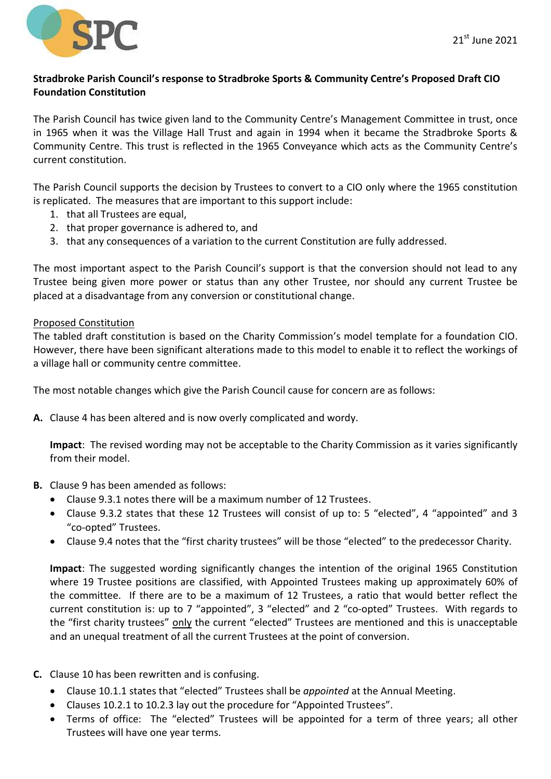

## **Stradbroke Parish Council's response to Stradbroke Sports & Community Centre's Proposed Draft CIO Foundation Constitution**

The Parish Council has twice given land to the Community Centre's Management Committee in trust, once in 1965 when it was the Village Hall Trust and again in 1994 when it became the Stradbroke Sports & Community Centre. This trust is reflected in the 1965 Conveyance which acts as the Community Centre's current constitution.

The Parish Council supports the decision by Trustees to convert to a CIO only where the 1965 constitution is replicated. The measures that are important to this support include:

- 1. that all Trustees are equal,
- 2. that proper governance is adhered to, and
- 3. that any consequences of a variation to the current Constitution are fully addressed.

The most important aspect to the Parish Council's support is that the conversion should not lead to any Trustee being given more power or status than any other Trustee, nor should any current Trustee be placed at a disadvantage from any conversion or constitutional change.

## Proposed Constitution

The tabled draft constitution is based on the Charity Commission's model template for a foundation CIO. However, there have been significant alterations made to this model to enable it to reflect the workings of a village hall or community centre committee.

The most notable changes which give the Parish Council cause for concern are as follows:

**A.** Clause 4 has been altered and is now overly complicated and wordy.

**Impact**: The revised wording may not be acceptable to the Charity Commission as it varies significantly from their model.

- **B.** Clause 9 has been amended as follows:
	- Clause 9.3.1 notes there will be a maximum number of 12 Trustees.
	- Clause 9.3.2 states that these 12 Trustees will consist of up to: 5 "elected", 4 "appointed" and 3 "co-opted" Trustees.
	- Clause 9.4 notes that the "first charity trustees" will be those "elected" to the predecessor Charity.

**Impact**: The suggested wording significantly changes the intention of the original 1965 Constitution where 19 Trustee positions are classified, with Appointed Trustees making up approximately 60% of the committee. If there are to be a maximum of 12 Trustees, a ratio that would better reflect the current constitution is: up to 7 "appointed", 3 "elected" and 2 "co-opted" Trustees. With regards to the "first charity trustees" only the current "elected" Trustees are mentioned and this is unacceptable and an unequal treatment of all the current Trustees at the point of conversion.

- **C.** Clause 10 has been rewritten and is confusing.
	- Clause 10.1.1 states that "elected" Trustees shall be *appointed* at the Annual Meeting.
	- Clauses 10.2.1 to 10.2.3 lay out the procedure for "Appointed Trustees".
	- Terms of office: The "elected" Trustees will be appointed for a term of three years; all other Trustees will have one year terms.